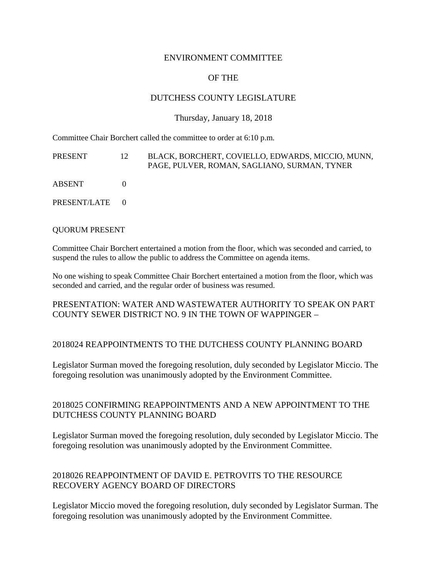### ENVIRONMENT COMMITTEE

# OF THE

## DUTCHESS COUNTY LEGISLATURE

#### Thursday, January 18, 2018

Committee Chair Borchert called the committee to order at 6:10 p.m.

| PRESENT        | 12 | BLACK, BORCHERT, COVIELLO, EDWARDS, MICCIO, MUNN,<br>PAGE, PULVER, ROMAN, SAGLIANO, SURMAN, TYNER |
|----------------|----|---------------------------------------------------------------------------------------------------|
| ABSENT         |    |                                                                                                   |
| PRESENT/LATE 0 |    |                                                                                                   |

#### QUORUM PRESENT

Committee Chair Borchert entertained a motion from the floor, which was seconded and carried, to suspend the rules to allow the public to address the Committee on agenda items.

No one wishing to speak Committee Chair Borchert entertained a motion from the floor, which was seconded and carried, and the regular order of business was resumed.

### PRESENTATION: WATER AND WASTEWATER AUTHORITY TO SPEAK ON PART COUNTY SEWER DISTRICT NO. 9 IN THE TOWN OF WAPPINGER –

### 2018024 REAPPOINTMENTS TO THE DUTCHESS COUNTY PLANNING BOARD

Legislator Surman moved the foregoing resolution, duly seconded by Legislator Miccio. The foregoing resolution was unanimously adopted by the Environment Committee.

## 2018025 CONFIRMING REAPPOINTMENTS AND A NEW APPOINTMENT TO THE DUTCHESS COUNTY PLANNING BOARD

Legislator Surman moved the foregoing resolution, duly seconded by Legislator Miccio. The foregoing resolution was unanimously adopted by the Environment Committee.

## 2018026 REAPPOINTMENT OF DAVID E. PETROVITS TO THE RESOURCE RECOVERY AGENCY BOARD OF DIRECTORS

Legislator Miccio moved the foregoing resolution, duly seconded by Legislator Surman. The foregoing resolution was unanimously adopted by the Environment Committee.